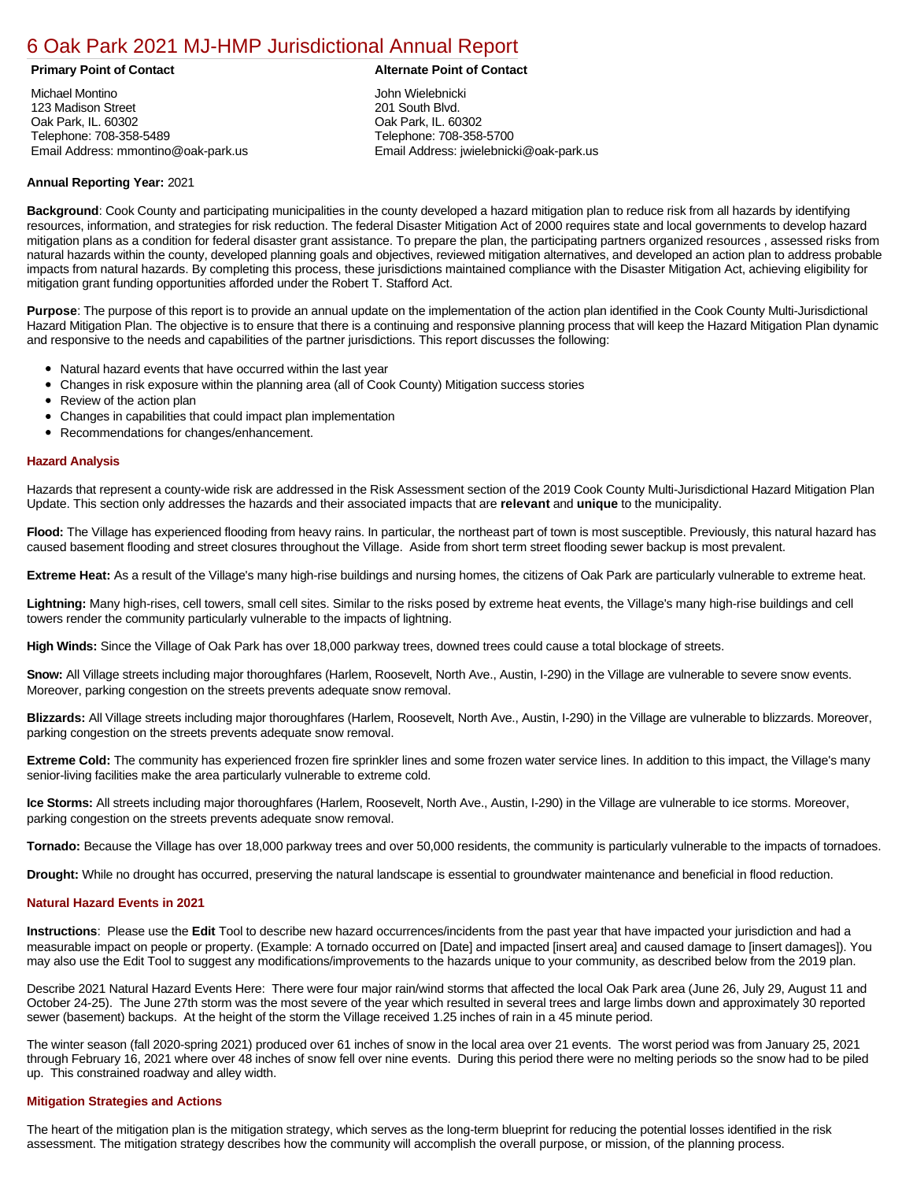### [6 Oak Park 2021 MJ-HMP Jurisdictional Annual Report](https://oakpark.isc-cemp.com/Cemp/Details?id=8322857)

#### **Primary Point of Contact Alternate Point of Contact**

Michael Montino 123 Madison Street Oak Park, IL. 60302 Telephone: 708-358-5489 Email Address: mmontino@oak-park.us

John Wielebnicki 201 South Blvd. Oak Park, IL. 60302 Telephone: 708-358-5700 Email Address: jwielebnicki@oak-park.us

#### **Annual Reporting Year:** 2021

**Background**: Cook County and participating municipalities in the county developed a hazard mitigation plan to reduce risk from all hazards by identifying resources, information, and strategies for risk reduction. The federal Disaster Mitigation Act of 2000 requires state and local governments to develop hazard mitigation plans as a condition for federal disaster grant assistance. To prepare the plan, the participating partners organized resources , assessed risks from natural hazards within the county, developed planning goals and objectives, reviewed mitigation alternatives, and developed an action plan to address probable impacts from natural hazards. By completing this process, these jurisdictions maintained compliance with the Disaster Mitigation Act, achieving eligibility for mitigation grant funding opportunities afforded under the Robert T. Stafford Act.

**Purpose**: The purpose of this report is to provide an annual update on the implementation of the action plan identified in the Cook County Multi-Jurisdictional Hazard Mitigation Plan. The objective is to ensure that there is a continuing and responsive planning process that will keep the Hazard Mitigation Plan dynamic and responsive to the needs and capabilities of the partner jurisdictions. This report discusses the following:

- Natural hazard events that have occurred within the last year
- $\bullet$ Changes in risk exposure within the planning area (all of Cook County) Mitigation success stories
- Review of the action plan  $\bullet$
- $\bullet$ Changes in capabilities that could impact plan implementation
- Recommendations for changes/enhancement.  $\bullet$

#### **Hazard Analysis**

Hazards that represent a county-wide risk are addressed in the Risk Assessment section of the 2019 Cook County Multi-Jurisdictional Hazard Mitigation Plan Update. This section only addresses the hazards and their associated impacts that are **relevant** and **unique** to the municipality.

Flood: The Village has experienced flooding from heavy rains. In particular, the northeast part of town is most susceptible. Previously, this natural hazard has caused basement flooding and street closures throughout the Village. Aside from short term street flooding sewer backup is most prevalent.

**Extreme Heat:** As a result of the Village's many high-rise buildings and nursing homes, the citizens of Oak Park are particularly vulnerable to extreme heat.

**Lightning:** Many high-rises, cell towers, small cell sites. Similar to the risks posed by extreme heat events, the Village's many high-rise buildings and cell towers render the community particularly vulnerable to the impacts of lightning.

**High Winds:** Since the Village of Oak Park has over 18,000 parkway trees, downed trees could cause a total blockage of streets.

**Snow:** All Village streets including major thoroughfares (Harlem, Roosevelt, North Ave., Austin, I-290) in the Village are vulnerable to severe snow events. Moreover, parking congestion on the streets prevents adequate snow removal.

**Blizzards:** All Village streets including major thoroughfares (Harlem, Roosevelt, North Ave., Austin, I-290) in the Village are vulnerable to blizzards. Moreover, parking congestion on the streets prevents adequate snow removal.

**Extreme Cold:** The community has experienced frozen fire sprinkler lines and some frozen water service lines. In addition to this impact, the Village's many senior-living facilities make the area particularly vulnerable to extreme cold.

**Ice Storms:** All streets including major thoroughfares (Harlem, Roosevelt, North Ave., Austin, I-290) in the Village are vulnerable to ice storms. Moreover, parking congestion on the streets prevents adequate snow removal.

**Tornado:** Because the Village has over 18,000 parkway trees and over 50,000 residents, the community is particularly vulnerable to the impacts of tornadoes.

**Drought:** While no drought has occurred, preserving the natural landscape is essential to groundwater maintenance and beneficial in flood reduction.

#### **Natural Hazard Events in 2021**

**Instructions**: Please use the **Edit** Tool to describe new hazard occurrences/incidents from the past year that have impacted your jurisdiction and had a measurable impact on people or property. (Example: A tornado occurred on [Date] and impacted [insert area] and caused damage to [insert damages]). You may also use the Edit Tool to suggest any modifications/improvements to the hazards unique to your community, as described below from the 2019 plan.

Describe 2021 Natural Hazard Events Here: There were four major rain/wind storms that affected the local Oak Park area (June 26, July 29, August 11 and October 24-25). The June 27th storm was the most severe of the year which resulted in several trees and large limbs down and approximately 30 reported sewer (basement) backups. At the height of the storm the Village received 1.25 inches of rain in a 45 minute period.

The winter season (fall 2020-spring 2021) produced over 61 inches of snow in the local area over 21 events. The worst period was from January 25, 2021 through February 16, 2021 where over 48 inches of snow fell over nine events. During this period there were no melting periods so the snow had to be piled up. This constrained roadway and alley width.

#### **Mitigation Strategies and Actions**

The heart of the mitigation plan is the mitigation strategy, which serves as the long-term blueprint for reducing the potential losses identified in the risk assessment. The mitigation strategy describes how the community will accomplish the overall purpose, or mission, of the planning process.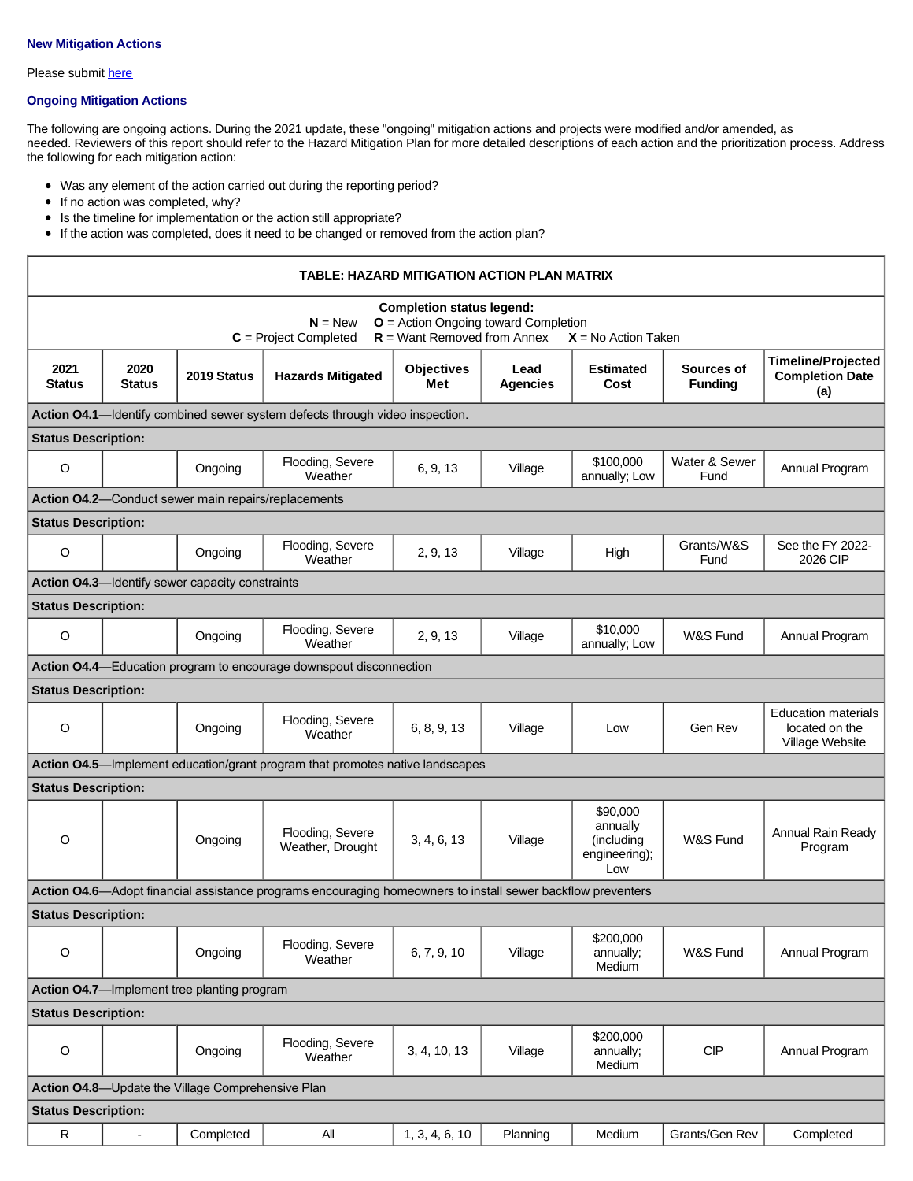### **New Mitigation Actions**

Please submit [here](https://integratedsolutions.wufoo.com/forms/mg21jvf0jn639o/)

### **Ongoing Mitigation Actions**

The following are ongoing actions. During the 2021 update, these "ongoing" mitigation actions and projects were modified and/or amended, as needed. Reviewers of this report should refer to the Hazard Mitigation Plan for more detailed descriptions of each action and the prioritization process. Address the following for each mitigation action:

- Was any element of the action carried out during the reporting period?
- If no action was completed, why?
- Is the timeline for implementation or the action still appropriate?
- If the action was completed, does it need to be changed or removed from the action plan?

| TABLE: HAZARD MITIGATION ACTION PLAN MATRIX       |                                                                                                                                                                              |                                                     |                                                                                                             |                   |                         |                                                            |                              |                                                                 |
|---------------------------------------------------|------------------------------------------------------------------------------------------------------------------------------------------------------------------------------|-----------------------------------------------------|-------------------------------------------------------------------------------------------------------------|-------------------|-------------------------|------------------------------------------------------------|------------------------------|-----------------------------------------------------------------|
|                                                   | <b>Completion status legend:</b><br>$O =$ Action Ongoing toward Completion<br>$N = New$<br>$R =$ Want Removed from Annex<br>$C = Project Completed$<br>$X = No$ Action Taken |                                                     |                                                                                                             |                   |                         |                                                            |                              |                                                                 |
| 2021<br><b>Status</b>                             | 2020<br><b>Status</b>                                                                                                                                                        | 2019 Status                                         | <b>Hazards Mitigated</b>                                                                                    | Objectives<br>Met | Lead<br><b>Agencies</b> | <b>Estimated</b><br>Cost                                   | Sources of<br><b>Funding</b> | <b>Timeline/Projected</b><br><b>Completion Date</b><br>(a)      |
|                                                   |                                                                                                                                                                              |                                                     | Action O4.1-Identify combined sewer system defects through video inspection.                                |                   |                         |                                                            |                              |                                                                 |
| <b>Status Description:</b>                        |                                                                                                                                                                              |                                                     |                                                                                                             |                   |                         |                                                            |                              |                                                                 |
| $\circ$                                           |                                                                                                                                                                              | Ongoing                                             | Flooding, Severe<br>Weather                                                                                 | 6, 9, 13          | Village                 | \$100,000<br>annually; Low                                 | Water & Sewer<br>Fund        | Annual Program                                                  |
|                                                   |                                                                                                                                                                              | Action O4.2-Conduct sewer main repairs/replacements |                                                                                                             |                   |                         |                                                            |                              |                                                                 |
| <b>Status Description:</b>                        |                                                                                                                                                                              |                                                     |                                                                                                             |                   |                         |                                                            |                              |                                                                 |
| $\circ$                                           |                                                                                                                                                                              | Ongoing                                             | Flooding, Severe<br>Weather                                                                                 | 2, 9, 13          | Village                 | High                                                       | Grants/W&S<br>Fund           | See the FY 2022-<br>2026 CIP                                    |
|                                                   |                                                                                                                                                                              | Action O4.3-Identify sewer capacity constraints     |                                                                                                             |                   |                         |                                                            |                              |                                                                 |
| <b>Status Description:</b>                        |                                                                                                                                                                              |                                                     |                                                                                                             |                   |                         |                                                            |                              |                                                                 |
| $\circ$                                           |                                                                                                                                                                              | Ongoing                                             | Flooding, Severe<br>Weather                                                                                 | 2, 9, 13          | Village                 | \$10,000<br>annually; Low                                  | W&S Fund                     | Annual Program                                                  |
|                                                   |                                                                                                                                                                              |                                                     | Action 04.4-Education program to encourage downspout disconnection                                          |                   |                         |                                                            |                              |                                                                 |
| <b>Status Description:</b>                        |                                                                                                                                                                              |                                                     |                                                                                                             |                   |                         |                                                            |                              |                                                                 |
| $\circ$                                           |                                                                                                                                                                              | Ongoing                                             | Flooding, Severe<br>Weather                                                                                 | 6, 8, 9, 13       | Village                 | Low                                                        | Gen Rev                      | <b>Education materials</b><br>located on the<br>Village Website |
|                                                   |                                                                                                                                                                              |                                                     | Action O4.5—Implement education/grant program that promotes native landscapes                               |                   |                         |                                                            |                              |                                                                 |
| <b>Status Description:</b>                        |                                                                                                                                                                              |                                                     |                                                                                                             |                   |                         |                                                            |                              |                                                                 |
| $\circ$                                           |                                                                                                                                                                              | Ongoing                                             | Flooding, Severe<br>Weather, Drought                                                                        | 3, 4, 6, 13       | Village                 | \$90,000<br>annually<br>(including<br>engineering);<br>Low | W&S Fund                     | <b>Annual Rain Ready</b><br>Program                             |
|                                                   |                                                                                                                                                                              |                                                     | Action 04.6—Adopt financial assistance programs encouraging homeowners to install sewer backflow preventers |                   |                         |                                                            |                              |                                                                 |
| <b>Status Description:</b>                        |                                                                                                                                                                              |                                                     |                                                                                                             |                   |                         |                                                            |                              |                                                                 |
| O                                                 |                                                                                                                                                                              | Ongoing                                             | Flooding, Severe<br>Weather                                                                                 | 6, 7, 9, 10       | Village                 | \$200,000<br>annually;<br>Medium                           | W&S Fund                     | Annual Program                                                  |
|                                                   | Action O4.7-Implement tree planting program                                                                                                                                  |                                                     |                                                                                                             |                   |                         |                                                            |                              |                                                                 |
|                                                   | <b>Status Description:</b>                                                                                                                                                   |                                                     |                                                                                                             |                   |                         |                                                            |                              |                                                                 |
| $\circ$                                           |                                                                                                                                                                              | Ongoing                                             | Flooding, Severe<br>Weather                                                                                 | 3, 4, 10, 13      | Village                 | \$200,000<br>annually;<br>Medium                           | <b>CIP</b>                   | Annual Program                                                  |
| Action O4.8-Update the Village Comprehensive Plan |                                                                                                                                                                              |                                                     |                                                                                                             |                   |                         |                                                            |                              |                                                                 |
| <b>Status Description:</b>                        |                                                                                                                                                                              |                                                     |                                                                                                             |                   |                         |                                                            |                              |                                                                 |
| ${\sf R}$                                         | $\overline{a}$                                                                                                                                                               | Completed                                           | All                                                                                                         | 1, 3, 4, 6, 10    | Planning                | Medium                                                     | Grants/Gen Rev               | Completed                                                       |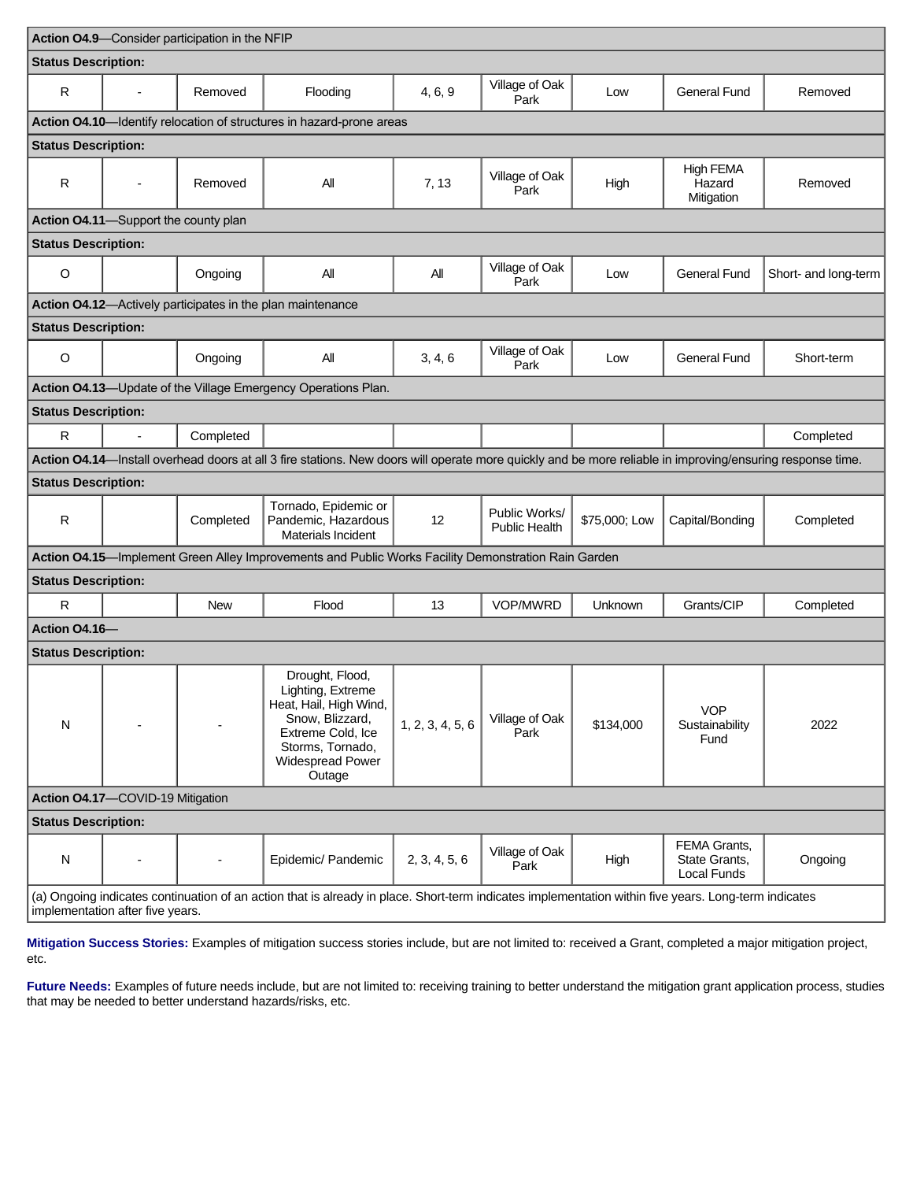| Action O4.9-Consider participation in the NFIP                                                                                                                                           |                          |           |                                                                                                                                                                 |                  |                                       |                |                                              |                      |
|------------------------------------------------------------------------------------------------------------------------------------------------------------------------------------------|--------------------------|-----------|-----------------------------------------------------------------------------------------------------------------------------------------------------------------|------------------|---------------------------------------|----------------|----------------------------------------------|----------------------|
| <b>Status Description:</b>                                                                                                                                                               |                          |           |                                                                                                                                                                 |                  |                                       |                |                                              |                      |
| R                                                                                                                                                                                        |                          | Removed   | Flooding                                                                                                                                                        | 4, 6, 9          | Village of Oak<br>Park                | Low            | <b>General Fund</b>                          | Removed              |
|                                                                                                                                                                                          |                          |           | Action 04.10-Identify relocation of structures in hazard-prone areas                                                                                            |                  |                                       |                |                                              |                      |
| <b>Status Description:</b>                                                                                                                                                               |                          |           |                                                                                                                                                                 |                  |                                       |                |                                              |                      |
| $\mathsf{R}$                                                                                                                                                                             | $\overline{\phantom{a}}$ | Removed   | Αll                                                                                                                                                             | 7, 13            | Village of Oak<br>Park                | High           | High FEMA<br>Hazard<br>Mitigation            | Removed              |
| Action 04.11-Support the county plan                                                                                                                                                     |                          |           |                                                                                                                                                                 |                  |                                       |                |                                              |                      |
| <b>Status Description:</b>                                                                                                                                                               |                          |           |                                                                                                                                                                 |                  |                                       |                |                                              |                      |
| $\circ$                                                                                                                                                                                  |                          | Ongoing   | All                                                                                                                                                             | All              | Village of Oak<br>Park                | Low            | <b>General Fund</b>                          | Short- and long-term |
|                                                                                                                                                                                          |                          |           | Action 04.12-Actively participates in the plan maintenance                                                                                                      |                  |                                       |                |                                              |                      |
| <b>Status Description:</b>                                                                                                                                                               |                          |           |                                                                                                                                                                 |                  |                                       |                |                                              |                      |
| $\circ$                                                                                                                                                                                  |                          | Ongoing   | All                                                                                                                                                             | 3, 4, 6          | Village of Oak<br>Park                | Low            | <b>General Fund</b>                          | Short-term           |
|                                                                                                                                                                                          |                          |           | Action 04.13-Update of the Village Emergency Operations Plan.                                                                                                   |                  |                                       |                |                                              |                      |
| <b>Status Description:</b>                                                                                                                                                               |                          |           |                                                                                                                                                                 |                  |                                       |                |                                              |                      |
| $\mathsf{R}$                                                                                                                                                                             | $\overline{\phantom{a}}$ | Completed |                                                                                                                                                                 |                  |                                       |                |                                              | Completed            |
|                                                                                                                                                                                          |                          |           | Action 04.14-Install overhead doors at all 3 fire stations. New doors will operate more quickly and be more reliable in improving/ensuring response time.       |                  |                                       |                |                                              |                      |
| <b>Status Description:</b>                                                                                                                                                               |                          |           |                                                                                                                                                                 |                  |                                       |                |                                              |                      |
| $\mathsf{R}$                                                                                                                                                                             |                          | Completed | Tornado, Epidemic or<br>Pandemic, Hazardous<br><b>Materials Incident</b>                                                                                        | 12               | Public Works/<br><b>Public Health</b> | \$75,000; Low  | Capital/Bonding                              | Completed            |
|                                                                                                                                                                                          |                          |           | Action 04.15—Implement Green Alley Improvements and Public Works Facility Demonstration Rain Garden                                                             |                  |                                       |                |                                              |                      |
| <b>Status Description:</b>                                                                                                                                                               |                          |           |                                                                                                                                                                 |                  |                                       |                |                                              |                      |
| R                                                                                                                                                                                        |                          | New       | Flood                                                                                                                                                           | 13               | VOP/MWRD                              | <b>Unknown</b> | Grants/CIP                                   | Completed            |
| Action 04.16-                                                                                                                                                                            |                          |           |                                                                                                                                                                 |                  |                                       |                |                                              |                      |
| <b>Status Description:</b>                                                                                                                                                               |                          |           |                                                                                                                                                                 |                  |                                       |                |                                              |                      |
| ${\sf N}$                                                                                                                                                                                |                          |           | Drought, Flood,<br>Lighting, Extreme<br>Heat, Hail, High Wind,<br>Snow, Blizzard,<br>Extreme Cold, Ice<br>Storms, Tornado,<br><b>Widespread Power</b><br>Outage | 1, 2, 3, 4, 5, 6 | Village of Oak<br>Park                | \$134,000      | <b>VOP</b><br>Sustainability<br>Fund         | 2022                 |
| Action 04.17-COVID-19 Mitigation                                                                                                                                                         |                          |           |                                                                                                                                                                 |                  |                                       |                |                                              |                      |
| <b>Status Description:</b>                                                                                                                                                               |                          |           |                                                                                                                                                                 |                  |                                       |                |                                              |                      |
| N                                                                                                                                                                                        |                          |           | Epidemic/ Pandemic                                                                                                                                              | 2, 3, 4, 5, 6    | Village of Oak<br>Park                | High           | FEMA Grants,<br>State Grants,<br>Local Funds | Ongoing              |
| (a) Ongoing indicates continuation of an action that is already in place. Short-term indicates implementation within five years. Long-term indicates<br>implementation after five years. |                          |           |                                                                                                                                                                 |                  |                                       |                |                                              |                      |

**Mitigation Success Stories:** Examples of mitigation success stories include, but are not limited to: received a Grant, completed a major mitigation project, etc.

Future Needs: Examples of future needs include, but are not limited to: receiving training to better understand the mitigation grant application process, studies that may be needed to better understand hazards/risks, etc.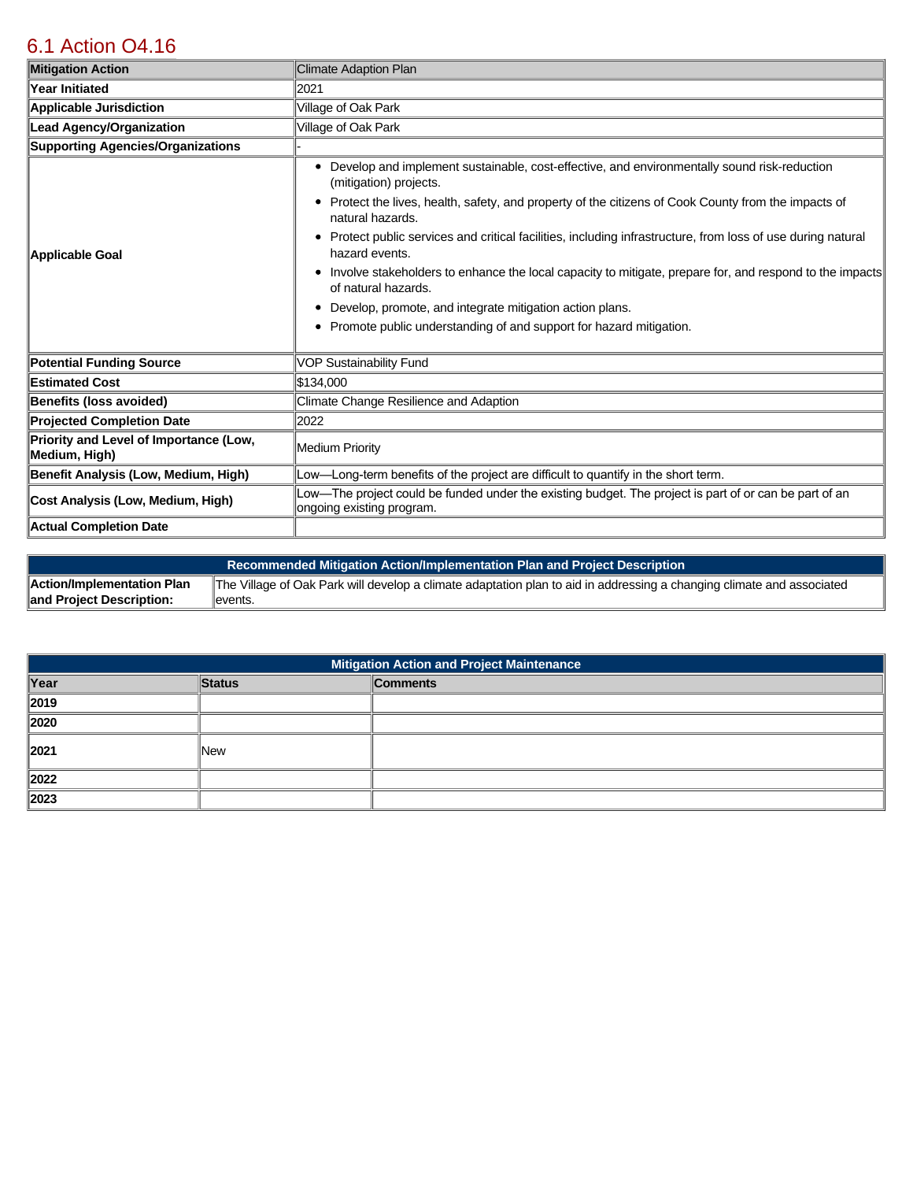# [6.1 Action O4.16](https://oakpark.isc-cemp.com/Cemp/Details?id=8336756)

| <b>Mitigation Action</b>                                | Climate Adaption Plan                                                                                                                                                                                                                                                                                                                                                                                                                                                                                                                                                                                                                                                        |  |  |
|---------------------------------------------------------|------------------------------------------------------------------------------------------------------------------------------------------------------------------------------------------------------------------------------------------------------------------------------------------------------------------------------------------------------------------------------------------------------------------------------------------------------------------------------------------------------------------------------------------------------------------------------------------------------------------------------------------------------------------------------|--|--|
| <b>Year Initiated</b>                                   | 2021                                                                                                                                                                                                                                                                                                                                                                                                                                                                                                                                                                                                                                                                         |  |  |
| <b>Applicable Jurisdiction</b>                          | Village of Oak Park                                                                                                                                                                                                                                                                                                                                                                                                                                                                                                                                                                                                                                                          |  |  |
| <b>Lead Agency/Organization</b>                         | Village of Oak Park                                                                                                                                                                                                                                                                                                                                                                                                                                                                                                                                                                                                                                                          |  |  |
| <b>Supporting Agencies/Organizations</b>                |                                                                                                                                                                                                                                                                                                                                                                                                                                                                                                                                                                                                                                                                              |  |  |
| Applicable Goal                                         | Develop and implement sustainable, cost-effective, and environmentally sound risk-reduction<br>٠<br>(mitigation) projects.<br>Protect the lives, health, safety, and property of the citizens of Cook County from the impacts of<br>٠<br>natural hazards.<br>Protect public services and critical facilities, including infrastructure, from loss of use during natural<br>٠<br>hazard events.<br>Involve stakeholders to enhance the local capacity to mitigate, prepare for, and respond to the impacts<br>of natural hazards.<br>Develop, promote, and integrate mitigation action plans.<br>٠<br>Promote public understanding of and support for hazard mitigation.<br>٠ |  |  |
| <b>Potential Funding Source</b>                         | <b>VOP Sustainability Fund</b>                                                                                                                                                                                                                                                                                                                                                                                                                                                                                                                                                                                                                                               |  |  |
| <b>Estimated Cost</b>                                   | \$134.000                                                                                                                                                                                                                                                                                                                                                                                                                                                                                                                                                                                                                                                                    |  |  |
| <b>Benefits (loss avoided)</b>                          | Climate Change Resilience and Adaption                                                                                                                                                                                                                                                                                                                                                                                                                                                                                                                                                                                                                                       |  |  |
| <b>Projected Completion Date</b>                        | 2022                                                                                                                                                                                                                                                                                                                                                                                                                                                                                                                                                                                                                                                                         |  |  |
| Priority and Level of Importance (Low,<br>Medium, High) | <b>Medium Priority</b>                                                                                                                                                                                                                                                                                                                                                                                                                                                                                                                                                                                                                                                       |  |  |
| Benefit Analysis (Low, Medium, High)                    | Low—Long-term benefits of the project are difficult to quantify in the short term.                                                                                                                                                                                                                                                                                                                                                                                                                                                                                                                                                                                           |  |  |
| Cost Analysis (Low, Medium, High)                       | Low—The project could be funded under the existing budget. The project is part of or can be part of an<br>ongoing existing program.                                                                                                                                                                                                                                                                                                                                                                                                                                                                                                                                          |  |  |
| Actual Completion Date                                  |                                                                                                                                                                                                                                                                                                                                                                                                                                                                                                                                                                                                                                                                              |  |  |

|                            | <b>Recommended Mitigation Action/Implementation Plan and Project Description</b> 1                                    |
|----------------------------|-----------------------------------------------------------------------------------------------------------------------|
| Action/Implementation Plan | The Village of Oak Park will develop a climate adaptation plan to aid in addressing a changing climate and associated |
| and Project Description:   | ∥events.                                                                                                              |

H

| <b>Mitigation Action and Project Maintenance</b> |        |                 |  |
|--------------------------------------------------|--------|-----------------|--|
| Year                                             | Status | <b>Comments</b> |  |
| 2019                                             |        |                 |  |
| 2020                                             |        |                 |  |
| $\vert$ 2021                                     | New    |                 |  |
| 2022                                             |        |                 |  |
| 2023                                             |        |                 |  |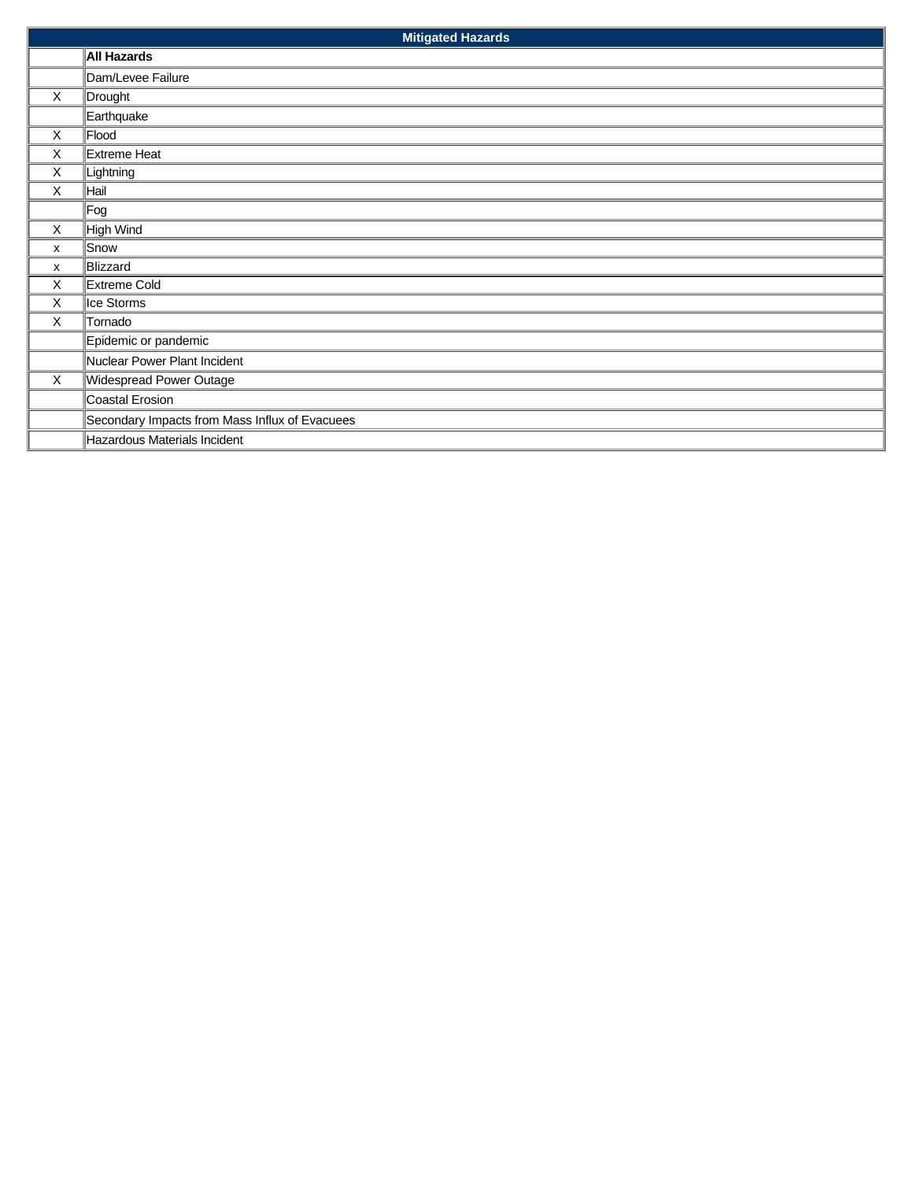|             | <b>Mitigated Hazards</b>                       |  |  |
|-------------|------------------------------------------------|--|--|
|             | <b>All Hazards</b>                             |  |  |
|             | Dam/Levee Failure                              |  |  |
| $\times$    | Drought                                        |  |  |
|             | Earthquake                                     |  |  |
| X           | Flood                                          |  |  |
| X           | Extreme Heat                                   |  |  |
| X           | Lightning                                      |  |  |
| X           | Hail                                           |  |  |
|             | Fog                                            |  |  |
| X           | High Wind                                      |  |  |
| X           | Snow                                           |  |  |
| X           | Blizzard                                       |  |  |
| X           | Extreme Cold                                   |  |  |
| X           | Ice Storms                                     |  |  |
| X           | Tornado                                        |  |  |
|             | Epidemic or pandemic                           |  |  |
|             | Nuclear Power Plant Incident                   |  |  |
| $\mathsf X$ | Widespread Power Outage                        |  |  |
|             | Coastal Erosion                                |  |  |
|             | Secondary Impacts from Mass Influx of Evacuees |  |  |
|             | Hazardous Materials Incident                   |  |  |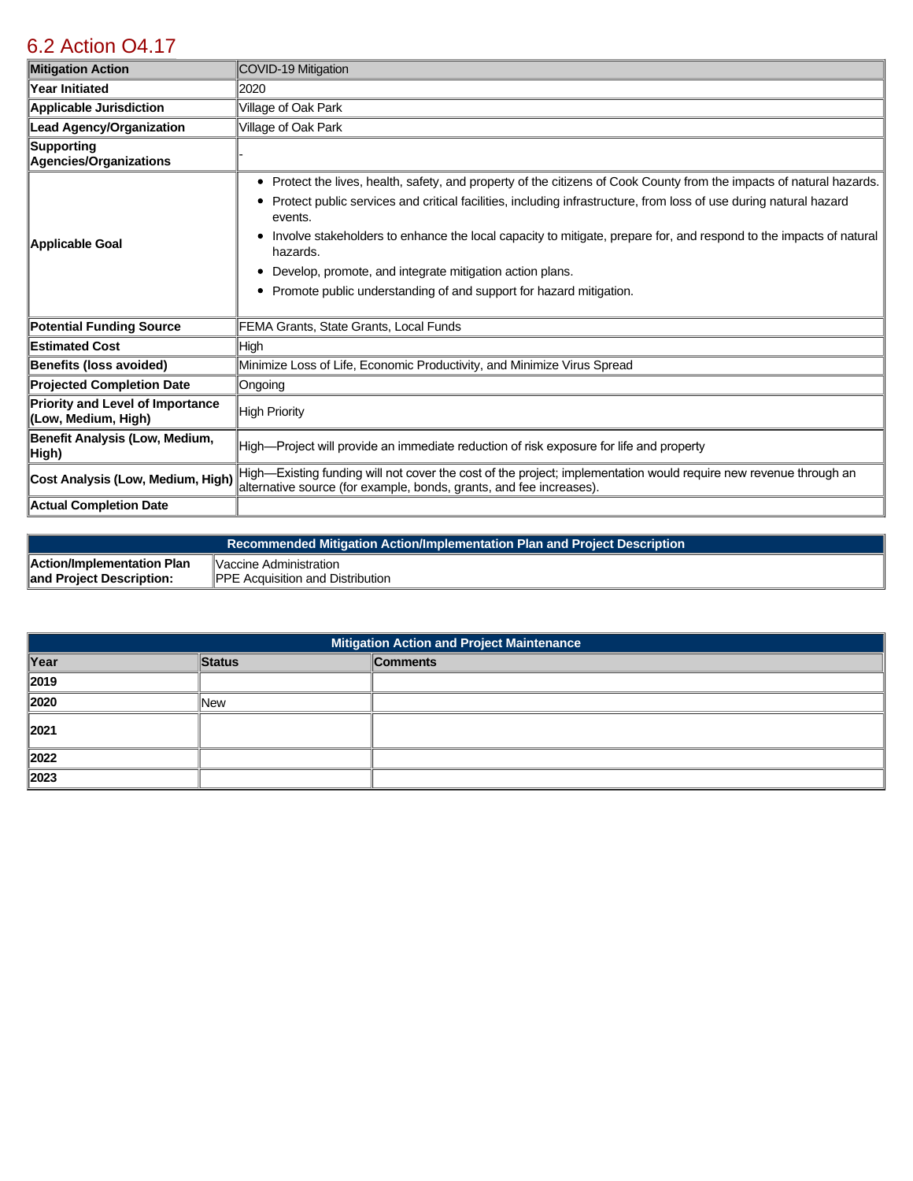## [6.2 Action O4.17](https://oakpark.isc-cemp.com/Cemp/Details?id=8336757)

| <b>Mitigation Action</b>                                       | COVID-19 Mitigation                                                                                                                                                                                                                                                                                                                                                                                                                                         |
|----------------------------------------------------------------|-------------------------------------------------------------------------------------------------------------------------------------------------------------------------------------------------------------------------------------------------------------------------------------------------------------------------------------------------------------------------------------------------------------------------------------------------------------|
| <b>Year Initiated</b>                                          | 2020                                                                                                                                                                                                                                                                                                                                                                                                                                                        |
| Applicable Jurisdiction                                        | Village of Oak Park                                                                                                                                                                                                                                                                                                                                                                                                                                         |
| <b>Lead Agency/Organization</b>                                | Village of Oak Park                                                                                                                                                                                                                                                                                                                                                                                                                                         |
| Supporting<br>Agencies/Organizations                           |                                                                                                                                                                                                                                                                                                                                                                                                                                                             |
| Applicable Goal                                                | Protect the lives, health, safety, and property of the citizens of Cook County from the impacts of natural hazards.<br>٠<br>Protect public services and critical facilities, including infrastructure, from loss of use during natural hazard<br>events.<br>Involve stakeholders to enhance the local capacity to mitigate, prepare for, and respond to the impacts of natural<br>٠<br>hazards.<br>Develop, promote, and integrate mitigation action plans. |
|                                                                | Promote public understanding of and support for hazard mitigation.<br>٠                                                                                                                                                                                                                                                                                                                                                                                     |
| Potential Funding Source                                       | FEMA Grants, State Grants, Local Funds                                                                                                                                                                                                                                                                                                                                                                                                                      |
| <b>Estimated Cost</b>                                          | High                                                                                                                                                                                                                                                                                                                                                                                                                                                        |
| Benefits (loss avoided)                                        | Minimize Loss of Life, Economic Productivity, and Minimize Virus Spread                                                                                                                                                                                                                                                                                                                                                                                     |
| <b>Projected Completion Date</b>                               | Ongoing                                                                                                                                                                                                                                                                                                                                                                                                                                                     |
| <b>Priority and Level of Importance</b><br>(Low, Medium, High) | <b>High Priority</b>                                                                                                                                                                                                                                                                                                                                                                                                                                        |
| Benefit Analysis (Low, Medium,<br>High)                        | High—Project will provide an immediate reduction of risk exposure for life and property                                                                                                                                                                                                                                                                                                                                                                     |
| Cost Analysis (Low, Medium, High)                              | High—Existing funding will not cover the cost of the project; implementation would require new revenue through an<br>alternative source (for example, bonds, grants, and fee increases).                                                                                                                                                                                                                                                                    |
| Actual Completion Date                                         |                                                                                                                                                                                                                                                                                                                                                                                                                                                             |

|                            | Recommended Mitigation Action/Implementation Plan and Project Description |
|----------------------------|---------------------------------------------------------------------------|
| Action/Implementation Plan | Vaccine Administration                                                    |
| and Project Description:   | <b>IPPE Acquisition and Distribution</b>                                  |

| Mitigation Action and Project Maintenance |            |                 |
|-------------------------------------------|------------|-----------------|
| Year                                      | Status     | <b>Comments</b> |
| 2019                                      |            |                 |
| 2020                                      | <b>New</b> |                 |
| $\parallel$ 2021                          |            |                 |
| 2022                                      |            |                 |
| 2023                                      |            |                 |